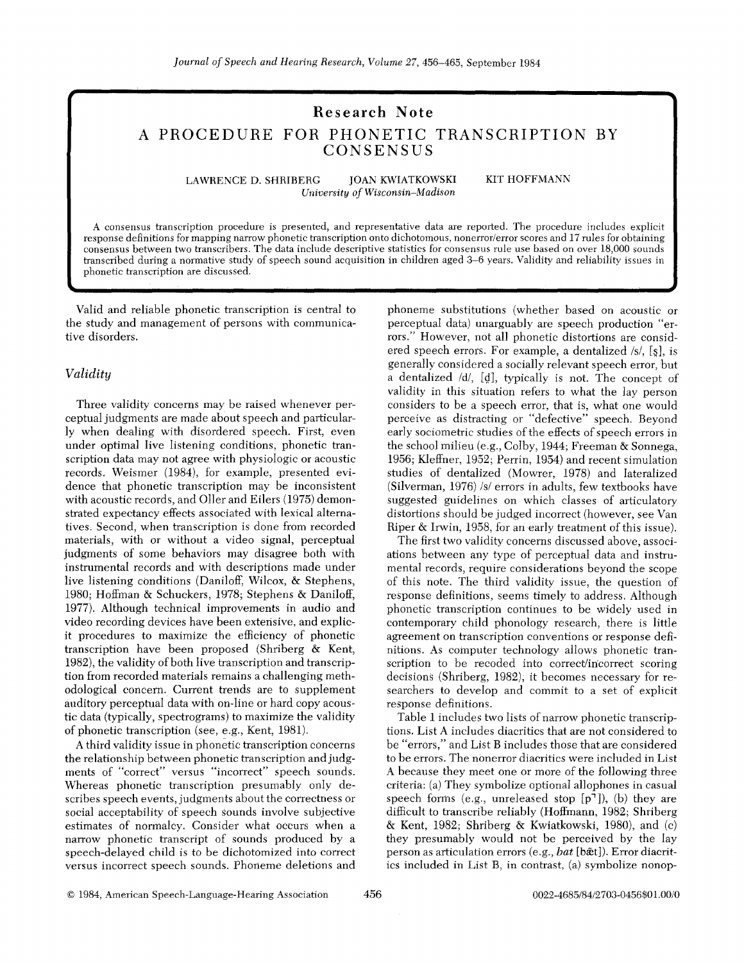# **Research Note A PROCEDURE FOR PHONETIC TRANSCRIPTION BY CONSENSUS**

LAWRENCE D. SHRIBERG **JOAN KWIATKOWSKI** *University of Wisconsin-Madison* 

**I** 

KIT HOFFMANN

*I* 

A consensus transcription procedure is presented, and representative data are reported. The procedure includes explicit response definitions for mapping narrow phonetic transcription onto dichotomous, nonerror/error scores and 17 rules for obtaining consensus between two transcribers. The data include descriptive statistics for consensus rule use based on over 18,000 sounds transcribed during a normative study of speech sound acquisition in children aged 3-6 years. Validity and reliability issues in phonetic transcription are discussed.

Valid and reliable phonetic transcription is central to the study and management of persons with communicative disorders.

## *Validity*

Three validity concerns may be raised whenever perceptual judgments are made about speech and particularly when dealing with disordered speech. First, even under optimal live listening conditions, phonetic transcription data may not agree with physiologic or acoustic records. Weismer (1984), for example, presented evidence that phonetic transcription may be inconsistent with acoustic records, and Oller arid Eilers (1975) demonstrated expectancy effects associated with lexical alternatives, Second, when transcription is done from recorded materials, with or without a video signal, perceptual judgments of some behaviors may disagree both with instrumental records and with descriptions made under live listening conditions (Daniloff, Wilcox, & Stephens, 1980; Hoffman & Schuekers, 1978; Stephens & Daniloff, 1977). Although technical improvements in audio and video recording devices have been extensive, and explicit procedures to maximize the efficiency of phonetic transcription have been proposed (Shriberg & Kent, 1982), the validity of both live transcription and transcription from recorded materials remains a challenging methodological concern. Current trends are to supplement auditory perceptual data with on-line or hard copy acoustic data (typically, spectrograms) to maximize the validity of phonetic transcription (see, e.g., Kent, 1981).

A third validity issue in phonetic transcription concerns the relationship between phonetic transcription and judgments of "correct" versus "incorrect" speech sounds. Whereas phonetic transcription presumably only describes speech events, judgments about the correctness or social acceptability of speech sounds involve subjective estimates of normalcy. Consider what occurs when a narrow phonetic transcript of sounds produced by a speech-delayed child is to be dichotomized into correct versus incorrect speech sounds. Phoneme deletions and phoneme substitutions (whether based on acoustic or perceptual data) unarguably are speech production "errors." However, not all phonetic distortions are considered speech errors. For example, a dentalized /s/, [s], is generally considered a socially relevant speech error, but a dentalized /d/, [d], typically is not. The concept of validity in this situation refers to what the lay person considers to be a speech error, that is, what one would perceive as distracting or "defective" speech. Beyond early sociometric studies of the effects of speech errors in the school milieu (e.g., Colby, !944; Freeman & Sonnega, 1956; Kleffner, 1952; Perrin, 1954) and recent simulation studies of dentalized (Mowrer, 1978) and lateralized (Silverman, 1976)/s/errors in adults, few textbooks have suggested guidelines on which classes of articulatory distortions should be judged incorrect (however, see Van Riper & Irwin, 1958, for an early treatment of this issue).

The first two validity concerns discussed above, associations between any type of perceptual data and instrumental records, require considerations beyond the scope of this note. The third validity issue, the question of response definitions, seems timely to address. Although phonetic transcription continues to be widely used in contemporary child phonology research, there is little agreement on transcription conventions or response definitions. As computer technology allows phonetic transcription to be recoded into correct/incorrect scoring decisions (Shriberg, 1982); it becomes necessary for researchers to develop and commit to a set of explicit response definitions.

Table 1 includes two lists of narrow phonetic transcriptions. List A includes diacritics that are not considered to be "errors," and List B includes those that are considered to be errors. The nonerror diacritics were included in List A because they meet one or more of the following three criteria: (a) They symbolize optional allophones in casual speech forms (e.g., unreleased stop  $[p^{\dagger}]$ ), (b) they are difficult to transcribe reliably (Hoffmann, 1982; Shriberg & Kent, 1982; Shriberg & Kwiatkowski, 1980), and (c) they presumably would not be perceived by the lay person as articulation errors (e.g., *bat* [b~t]). Error diacritics included in List B, in contrast, (a) symbolize nonop-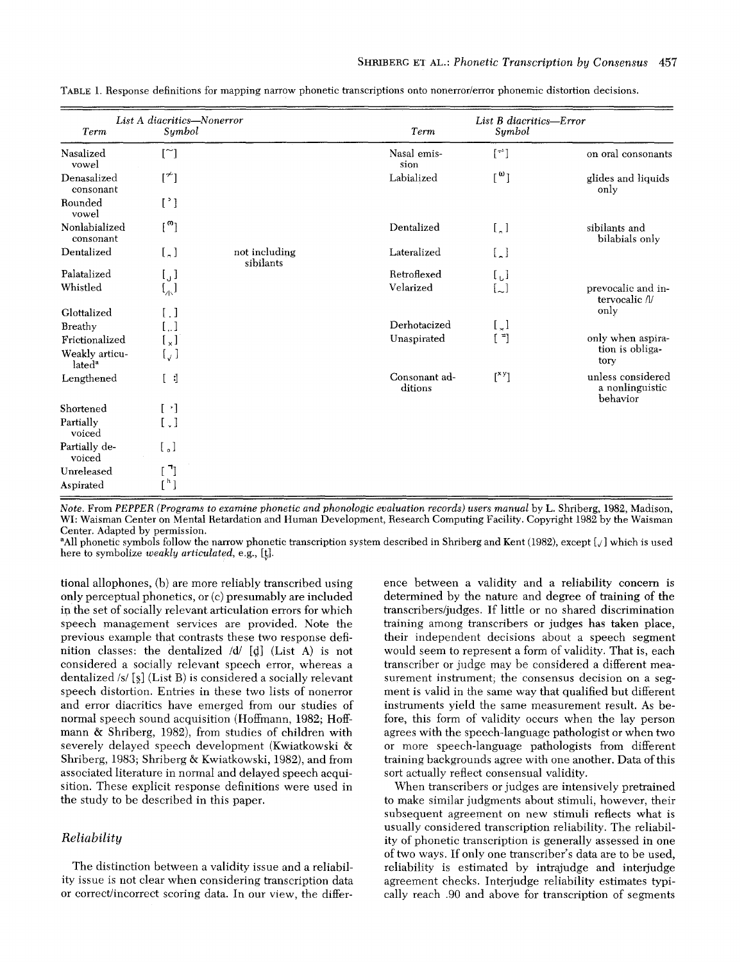| List A diacritics-Nonerror           |                                                              |                            |                          | List B diacritics-Error                                             |                                                  |
|--------------------------------------|--------------------------------------------------------------|----------------------------|--------------------------|---------------------------------------------------------------------|--------------------------------------------------|
| Term                                 | Symbol                                                       |                            | Term                     | Symbol                                                              |                                                  |
| Nasalized<br>vowel                   | $\lbrack \widetilde{\ \ } \rbrack$                           |                            | Nasal emis-<br>sion      | $[\tilde{\cdot}]$                                                   | on oral consonants                               |
| Denasalized<br>consonant             | $[^{\n\star}]$                                               |                            | Labialized               | $\lbrack \omega \rbrack$                                            | glides and liquids<br>only                       |
| Rounded<br>vowel                     | $[\cdot]$                                                    |                            |                          |                                                                     |                                                  |
| Nonlabialized<br>consonant           | $\begin{bmatrix} 0 \\ 0 \end{bmatrix}$                       |                            | Dentalized               | $\left[ \begin{array}{c} 1 \\ 1 \end{array} \right]$                | sibilants and<br>bilabials only                  |
| Dentalized                           | $[$ , $]$                                                    | not including<br>sibilants | Lateralized              | $\left[ \right]$                                                    |                                                  |
| Palatalized                          | $[\, , ]$                                                    |                            | Retroflexed              | $\left[ \begin{smallmatrix} 1 \\ 0 \end{smallmatrix} \right]$       |                                                  |
| Whistled                             | $\mathfrak{l}_{4}$                                           |                            | Velarized                | $\left[\right]$                                                     | prevocalic and in-<br>tervocalic /l/             |
| Glottalized                          | $\left[ \begin{smallmatrix} 1\\ 1 \end{smallmatrix} \right]$ |                            |                          |                                                                     | only                                             |
| Breathy                              | $[$ ]                                                        |                            | Derhotacized             | $\left[ \begin{smallmatrix} 1 \\ 2 \end{smallmatrix} \right]$       |                                                  |
| Frictionalized                       | $\mathfrak{l}_{\times}$ ]                                    |                            | Unaspirated              | $[$ $\overline{\phantom{a}}$                                        | only when aspira-                                |
| Weakly articu-<br>lated <sup>a</sup> | $[\sqrt{1}]$                                                 |                            |                          |                                                                     | tion is obliga-<br>tory                          |
| Lengthened                           | [1]                                                          |                            | Consonant ad-<br>ditions | $\left[\begin{smallmatrix} x & y \\ & & 1 \end{smallmatrix}\right]$ | unless considered<br>a nonlinguistic<br>behavior |
| Shortened                            | $[\cdot]$                                                    |                            |                          |                                                                     |                                                  |
| Partially<br>voiced                  | $\left[\right.\right.\left.\right.$                          |                            |                          |                                                                     |                                                  |
| Partially de-<br>voiced              | $\lceil$ , $\rceil$                                          |                            |                          |                                                                     |                                                  |
| Unreleased                           | "ַ                                                           |                            |                          |                                                                     |                                                  |
| Aspirated                            | $\left[\begin{array}{c} h \\ l \end{array}\right]$           |                            |                          |                                                                     |                                                  |

TABLE 1. Response definitions for mapping narrow phonetic transcriptions onto nonerror/error phonemic distortion decisions.

*Note.* From *PEPPER (Programs to examine phonetic and phonologic evaluation records) users manual* by L. Shriberg, 1982, Madison, WI: Waisman Center on Mental Retardation and Human Development, Research Computing Facility. Copyright 1982 by the Waisman Center. Adapted by permission.

<sup>a</sup>All phonetic symbols follow the narrow phonetic transcription system described in Shriberg and Kent (1982), except  $[\sqrt{}]$  which is used here to symbolize *weakly articulated*, e.g., [t].

tional allophones, (b) are more reliably transcribed using only perceptual phonetics, or (c) presumably are included in the set of socially relevant articulation errors for which speech management services are provided. Note the previous example that contrasts these two response definition classes: the dentalized /d/ [d] (List A) is not considered a socially relevant speech error, whereas a dentalized /s/ Is] (List B) is considered a socially relevant speech distortion. Entries in these two lists of nonerror and error diacritics have emerged from our studies of normal speech sound acquisition (Hoffmann, 1982; Hoffmann & Shriberg, 1982), from studies of children with severely delayed speech development (Kwiatkowski & Shriberg, 1983; Shriberg & Kwiatkowski, 1982), and from associated literature in normal and delayed speech acquisition. These explicit response definitions were used in the study to be described in this paper.

# *Reliability*

The distinction between a validity issue and a reliability issue is not clear when considering transcription data or correct/incorrect scoring data. In our view, the difference between a validity and a reliability concern is determined by the nature and degree of training of the transcribers/judges. If little or no shared discrimination training among transcribers or judges has taken place, their independent decisions about a speech segment would seem to represent a form of validity, That is, each transcriber or judge may be considered a different measurement instrument; the consensus decision on a segment is valid in the same way that qualified but different instruments yield the same measurement result. As before, this form of validity occurs when the lay person agrees with the speech-language pathologist or when two or more speech-language pathologists from different training backgrounds agree with one another. Data of this sort actually reflect consensual validity.

When transcribers or judges are intensively pretrained to make similar judgments about stimuli, however, their subsequent agreement on new stimuli reflects what is usually considered transcription reliability. The reliability of phonetic transcription is generally assessed in one of two ways. If only one transcriber's data are to be used, reliability is estimated by intrajudge and interjudge agreement checks. Interjudge reliability estimates typically reach .90 and above for transcription of segments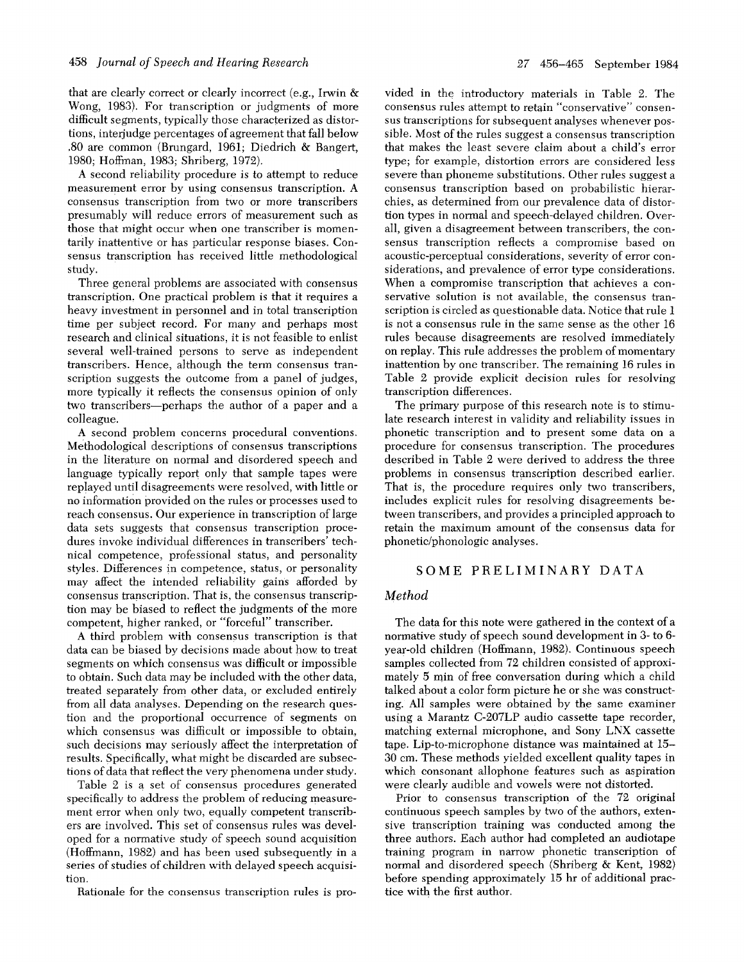that are clearly correct or clearly incorrect (e.g., Irwin & Wong, 1983). For transcription or judgments of more difficult segments, typically those characterized as distortions, interjudge percentages of agreement that fall below .80 are common (Brungard, 1961; Diedrich & Bangert, 1980; Hoffman, 1983; Shriberg, 1972).

A second reliability procedure is to attempt to reduce measurement error by using consensus transcription. A consensus transcription from two or more transcribers presumably will reduce errors of measurement such as those that might occur when one transcriber is momentarily inattentive or has particular response biases. Consensus transcription has received little methodological study.

Three general problems are associated with consensus transcription, One practical problem is that it requires a heavy investment in personnel and in total transcription time per subject record. For many and perhaps most research and clinical situations, it is not feasible to enlist several well-trained persons to serve as independent transcribers. Hence, although the term consensus transcription suggests the outcome from a panel of judges, more typically it reflects the consensus opinion of only two transcribers—perhaps the author of a paper and a colleague.

A second problem concerns procedural conventions. Methodological descriptions of consensus transcriptions in the literature on normal and disordered speech and language typically report only that sample tapes were replayed until disagreements were resolved, with little or no information provided on the rules or processes used to reach consensus. Our experience in transcription of large data sets suggests that consensus transcription procedures invoke individual differences in transcribers' technical competence, professional status, and personality styles. Differences in competence, status, or personality may affect the intended reliability gains afforded by consensus transcription. That is, the consensus transcription may be biased to reflect the judgments of the more competent, higher ranked, or "forceful" transcriber.

A third problem with consensus transcription is that data can be biased by decisions made about how to treat segments on which consensus was difficult or impossible to obtain. Such data may be included with the other data, treated separately from other data, or excluded entirely from all data analyses. Depending on the research question and the proportional occurrence of segments on which consensus was difficult or impossible to obtain, such decisions may seriously affect the interpretation of results. Specifically, what might be discarded are subsections of data that reflect the very phenomena under study.

Table 2 is a set of consensus procedures generated specifically to address the problem of reducing measurement error when only two, equally competent transcribers are involved. This set of consensus rules was developed for a normative study of speech sound acquisition (Hoffmann, 1982) and has been used subsequently in a series of studies of children with delayed speech acquisition.

Rationale for the consensus transcription rules is pro-

vided in the introductory materials in Table 2. The consensus rules attempt to retain "conservative" consensus transcriptions for subsequent analyses whenever possible. Most of the rules suggest a consensus transcription that makes the least severe claim about a child's error type; for example, distortion errors are considered less severe than phoneme substitutions. Other rules suggest a consensus transcription based on probabilistic hierarchies, as determined from our prevalence data of distortion types in normal and speech-delayed children. Overall, given a disagreement between transcribers, the consensus transcription reflects a compromise based on acoustic-perceptual considerations, severity of error considerations, and prevalence of error type considerations. When a compromise transcription that achieves a conservative solution is not available, the consensus transcription is circled as questionable data. Notice that rule 1 is not a consensus rule in the same sense as the other 16 rules because disagreements are resolved immediately on replay. This rule addresses the problem of momentary inattention by one transcriber. The remaining 16 rules in Table 2 provide explicit decision rules for resolving

The primary purpose of this research note is to stimulate research interest in validity and reliability issues in phonetic transcription and to present some data on a procedure for consensus transcription. The procedures described in Table 2 were derived to address the three problems in consensus transcription described earlier. That is, the procedure requires only two transcribers, includes explicit rules for resolving disagreements between transcribers, and provides a principled approach to retain the maximum amount of the consensus data for phonetic/phonologic analyses.

## SOME PRELIMINARY DATA

## *Method*

transcription differences.

The data for this note were gathered in the context of a normative study of speech sound development in 3- to 6 year-old children (Hoffmann, 1982). Continuous speech samples collected from 72 children consisted of approximately 5 min of free conversation during which a child talked about a color form picture he or she was constructing. All samples were obtained by the same examiner using a Marantz C-207LP audio cassette tape recorder, matching external microphone, and Sony LNX cassette tape. Lip-t0-microphone distance was maintained at 15- 30 cm. These methods yielded excellent quality tapes in which consonant allophone features such as aspiration were clearly audible and vowels were not distorted.

Prior to consensus transcription of the 72 original continuous speech samples by two of the authors, extensive transcription training was conducted among the three authors. Each author had completed an audiotape training program in narrow phonetic transcription of normal and disordered speech (Shriberg & Kent, 1982) before spending approximately 15 hr of additional practice with the first author.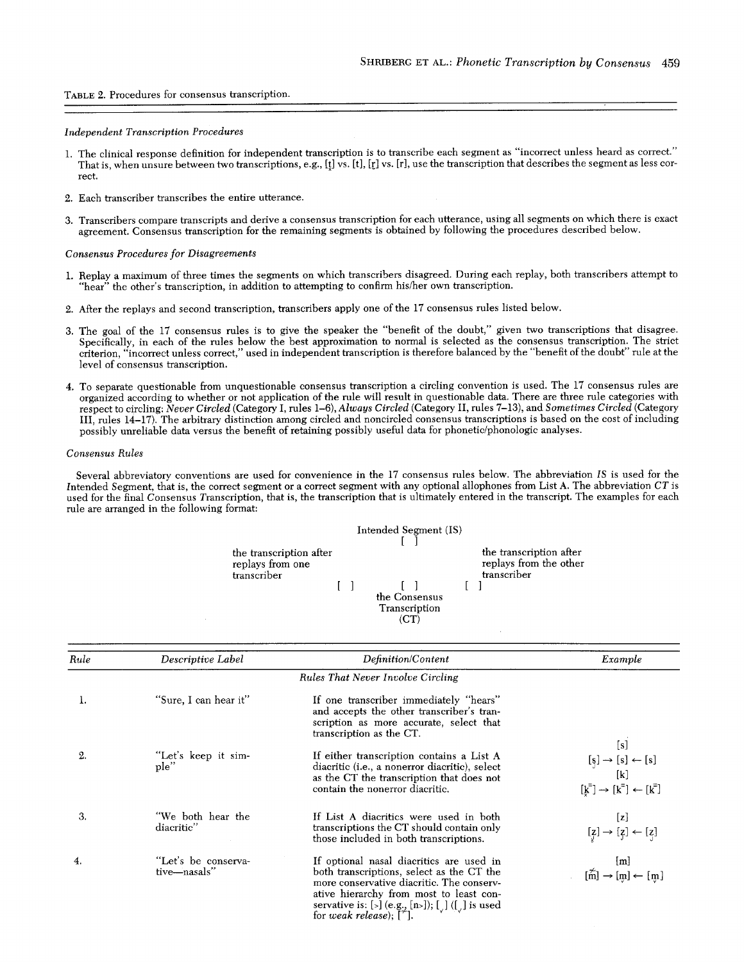### TABLE 2. Procedures for consensus transcription.

#### *Independent Transcription Procedures*

- 1. The clinical response definition for independent transcription is to transcribe each segment as "incorrect unless heard as correct." That is, when unsure between two transcriptions, e.g., [t] vs. [t], [r] vs. [r], use the transcription that describes the segment as less correct.
- 2. Each transcriber transcribes the entire utterance.
- 3. Transcribers compare transcripts and derive a consensus transcription for each utterance, using all segments on which there is exact agreement. Consensus transcription for the remaining segments is obtained by following the procedures described below.

#### *Consensus Procedures for Disagreements*

- 1. Replay a maximum of three times the segments on which transcribers disagreed. During each replay, both transcribers attempt to "hear" the other's transcription, in addition to attempting to confirm his/her own transcription.
- 2. After the replays and second transcription, transcribers apply one of the 17 consensus rules listed below.
- 3. The goal of the 17 consensus rules is to give the speaker the "benefit of the doubt," given two transcriptions that disagree. Specifically, in each of the rules below the best approximation to normal is selected as the consensus transcription. The strict criterion, "incorrect unless correct," used in independent transcription is therefore balanced by the "benefit of the doubt" rule at the level of consensus transcription.
- 4. To separate questionable from unquestionable consensus transcription a circling convention is used. The 17 consensus rules are organized according to whether or not application of the rule will result in questionable data. There are three rule categories with respect to circling: *Never Circled* (Category I, rules 1-6), *Always Circled* (Category II, rules 7-13), and *Sometimes Circled* (Category llI, rules 14-17). The arbitrary distinction among circled and noncircled consensus transcriptions is based on the cost of including possibly unreliable data versus the benefit of retaining possibly useful data for phonetic/phonologic analyses.

#### *Consensus Rules*

Several abbreviatory conventions are used for convenience in the 17 consensus rules below. The abbreviation *IS* is used for the Intended Segment, that is, the correct segment or a correct segment with any optional allophones from List A. The abbreviation *CT* is used for the final Consensus Transcription, that is, the transcription that is ultimately entered in the transcript. The examples for each rule are arranged in the following format:



| Rule | Descriptive Label                   | Example                                                                                                                                                                                                                                                                                                                                                       |                                                                                                                                                          |
|------|-------------------------------------|---------------------------------------------------------------------------------------------------------------------------------------------------------------------------------------------------------------------------------------------------------------------------------------------------------------------------------------------------------------|----------------------------------------------------------------------------------------------------------------------------------------------------------|
|      |                                     | <b>Rules That Never Involve Circling</b>                                                                                                                                                                                                                                                                                                                      |                                                                                                                                                          |
| 1.   | "Sure, I can hear it"               | If one transcriber immediately "hears"<br>and accepts the other transcriber's tran-<br>scription as more accurate, select that<br>transcription as the CT.                                                                                                                                                                                                    |                                                                                                                                                          |
| 2.   | "Let's keep it sim-<br>ple"         | If either transcription contains a List A<br>diacritic ( <i>i.e.</i> , a nonerror diacritic), select<br>as the CT the transcription that does not<br>contain the nonerror diacritic.                                                                                                                                                                          | [s]<br>$[s] \rightarrow [s] \leftarrow [s]$<br>[k]<br>$[\mathbf{k}^{\mathbb{Z}}]\rightarrow[\mathbf{k}^{\mathbb{Z}}]\leftarrow[\mathbf{k}^{\mathbb{Z}}]$ |
| 3.   | "We both hear the<br>diacritic"     | If List A diacritics were used in both<br>transcriptions the CT should contain only<br>those included in both transcriptions.                                                                                                                                                                                                                                 | [z]<br>$[\underline{z}] \rightarrow [\underline{z}] \leftarrow [\underline{z}]$                                                                          |
| 4.   | "Let's be conserva-<br>tive—nasals" | If optional nasal diacritics are used in<br>both transcriptions, select as the CT the<br>more conservative diacritic. The conserv-<br>ative hierarchy from most to least con-<br>servative is: $[\triangleright]$ (e.g., $[n\triangleright])$ ; $[\bigcup_{v}$ $([\bigcup_{v}$ is used for <i>weak release</i> ); [ <sup><math>\triangleright</math></sup> ]. | [m]<br>$[\stackrel{\leftrightarrow}{m}] \rightarrow [m] \leftarrow [m]$                                                                                  |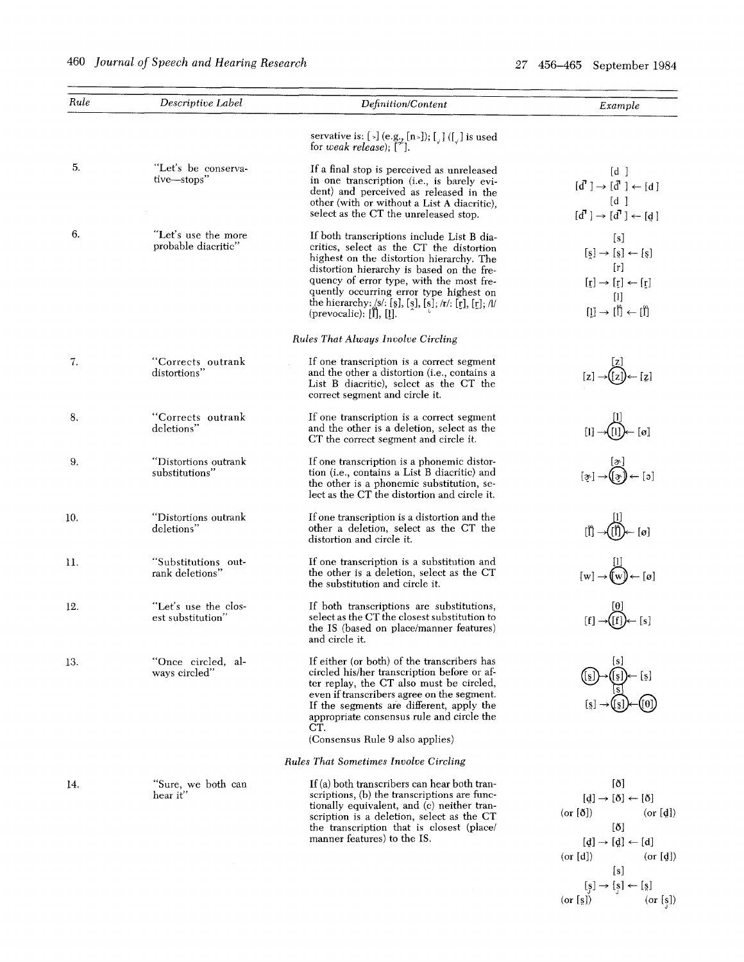Is]  $[s] \rightarrow [s] \leftarrow [s]$  $(\text{or } [\S])$   $(\text{or } [\S])$ 

| Rule | Descriptive Label                          | Definition/Content                                                                                                                                                                                                                                                                                                                                                                                                  | Example                                                                                                                                                                                                           |
|------|--------------------------------------------|---------------------------------------------------------------------------------------------------------------------------------------------------------------------------------------------------------------------------------------------------------------------------------------------------------------------------------------------------------------------------------------------------------------------|-------------------------------------------------------------------------------------------------------------------------------------------------------------------------------------------------------------------|
|      |                                            | servative is: $[\rightarrow]$ (e.g., $[n\rightarrow]$ ); $[\Box]$ ( $[\Box]$ ) is used<br>for <i>weak release</i> ); $[\Box]$ .                                                                                                                                                                                                                                                                                     |                                                                                                                                                                                                                   |
| 5.   | "Let's be conserva-<br>tive-stops"         | If a final stop is perceived as unreleased<br>in one transcription (i.e., is barely evi-<br>dent) and perceived as released in the<br>other (with or without a List A diacritic),<br>select as the CT the unreleased stop.                                                                                                                                                                                          | [d]<br>$[d^{\mathsf{T}}] \rightarrow [d^{\mathsf{T}}] \leftarrow [d]$<br>[d]<br>$[d^{\mathsf{T}}] \rightarrow [d^{\mathsf{T}}] \leftarrow [d]$                                                                    |
| 6.   | "Let's use the more<br>probable diacritic" | If both transcriptions include List B dia-<br>critics, select as the CT the distortion<br>highest on the distortion hierarchy. The<br>distortion hierarchy is based on the fre-<br>quency of error type, with the most fre-<br>quently occurring error type highest on<br>the hierarchy: $\mathcal{S}'$ : [s], [s], [s], $\mathcal{N}'$ : [t̪], [t̪], $\mathcal{N}'$<br>(prevocalic): $[\mathbf{I}], [\mathbf{I}].$ | [s]<br>$[s] \rightarrow [s] \leftarrow [s]$<br>$[r]$<br>$[\underline{r}] \rightarrow [\underline{r}] \leftarrow [\underline{r}]$<br>$[1]$<br>$[\mathbf{l}] \to [\mathbf{l}]\leftarrow [\mathbf{l}]$               |
|      |                                            | <b>Rules That Always Involve Circling</b>                                                                                                                                                                                                                                                                                                                                                                           |                                                                                                                                                                                                                   |
| 7.   | "Corrects outrank<br>distortions"          | If one transcription is a correct segment<br>and the other a distortion (i.e., contains a<br>List B diacritic), select as the CT the<br>correct segment and circle it.                                                                                                                                                                                                                                              | [z]<br>$\leftarrow$ [z]                                                                                                                                                                                           |
| 8.   | "Corrects outrank<br>deletions"            | If one transcription is a correct segment<br>and the other is a deletion, select as the<br>CT the correct segment and circle it.                                                                                                                                                                                                                                                                                    | - [ø]                                                                                                                                                                                                             |
| 9.   | "Distortions outrank<br>substitutions"     | If one transcription is a phonemic distor-<br>tion ( <i>i.e.</i> , contains a List B diacritic) and<br>the other is a phonemic substitution, se-<br>lect as the CT the distortion and circle it.                                                                                                                                                                                                                    | $[\tilde{\mathfrak{F}}] \to \mathbb{Q}[\tilde{\mathfrak{F}}] \to [\tilde{\mathfrak{F}}]$                                                                                                                          |
| 10.  | "Distortions outrank<br>deletions"         | If one transcription is a distortion and the<br>other a deletion, select as the CT the<br>distortion and circle it.                                                                                                                                                                                                                                                                                                 | $[\mathfrak{l}]\rightarrow\!\!([\mathfrak{l}])\leftarrow[\varnothing]$                                                                                                                                            |
| 11.  | "Substitutions out-<br>rank deletions"     | If one transcription is a substitution and<br>the other is a deletion, select as the CT<br>the substitution and circle it.                                                                                                                                                                                                                                                                                          | $[w] \rightarrow (w] \leftarrow [0]$                                                                                                                                                                              |
| 12.  | "Let's use the clos-<br>est substitution"  | If both transcriptions are substitutions,<br>select as the CT the closest substitution to<br>the IS (based on place/manner features)<br>and circle it.                                                                                                                                                                                                                                                              | $[f] \rightarrow ([f]) \leftarrow [s]$                                                                                                                                                                            |
| 13.  | "Once circled, al-<br>ways circled"        | If either (or both) of the transcribers has<br>circled his/her transcription before or af-<br>ter replay, the CT also must be circled,<br>even if transcribers agree on the segment.<br>If the segments are different, apply the<br>appropriate consensus rule and circle the<br>CT.<br>(Consensus Rule 9 also applies)                                                                                             | [s]                                                                                                                                                                                                               |
|      |                                            | <b>Rules That Sometimes Involve Circling</b>                                                                                                                                                                                                                                                                                                                                                                        |                                                                                                                                                                                                                   |
| 14.  | "Sure, we both can<br>hear it"             | If (a) both transcribers can hear both tran-<br>scriptions, (b) the transcriptions are func-<br>tionally equivalent, and (c) neither tran-<br>scription is a deletion, select as the CT<br>the transcription that is closest (place/<br>manner features) to the IS.                                                                                                                                                 | $[\delta]$<br>$[d] \rightarrow [\delta] \leftarrow [\delta]$<br>$($ or $[\delta]$<br>$\sigma$ [d])<br>$[\delta]$<br>$[\mathfrak{g}] \rightarrow [\mathfrak{g}] \leftarrow [\mathfrak{d}]$<br>(or [d])<br>(or [d]) |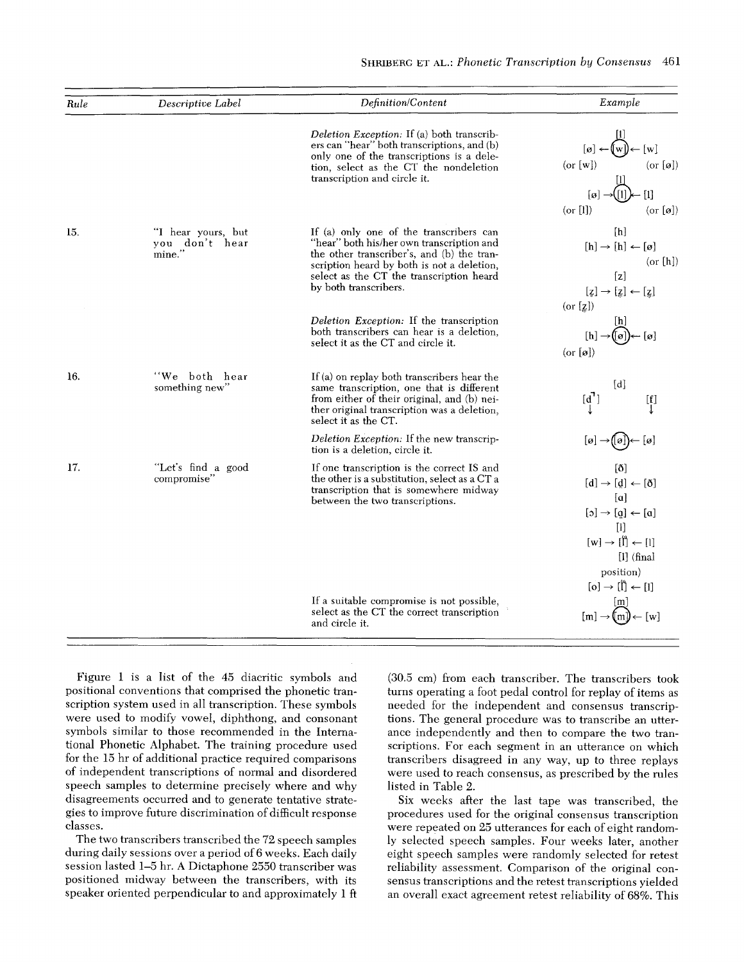| Rule | Descriptive Label                              | Definition/Content                                                                                                                                                                                                                                    | Example                                                                                                                                                                                                                                                                                          |
|------|------------------------------------------------|-------------------------------------------------------------------------------------------------------------------------------------------------------------------------------------------------------------------------------------------------------|--------------------------------------------------------------------------------------------------------------------------------------------------------------------------------------------------------------------------------------------------------------------------------------------------|
|      |                                                | Deletion Exception: If (a) both transcrib-<br>ers can "hear" both transcriptions, and (b)<br>only one of the transcriptions is a dele-<br>tion, select as the CT the nondeletion<br>transcription and circle it.                                      | $[\emptyset] \leftarrow \infty$ $[w] \leftarrow [w]$<br>(or $[\![\varnothing]\!]$ )<br>(or [w])<br>$\lceil$<br>(or [1])<br>(or $[\boldsymbol{\varnothing}]$ )                                                                                                                                    |
| 15.  | "I hear yours, but<br>you don't hear<br>mine." | If (a) only one of the transcribers can<br>"hear" both his/her own transcription and<br>the other transcriber's, and (b) the tran-<br>scription heard by both is not a deletion,<br>select as the CT the transcription heard<br>by both transcribers. | [h]<br>$[h] \rightarrow [h] \leftarrow [\varnothing]$<br>(or fh!)<br>[z]<br>$[z] \rightarrow [z] \leftarrow [z]$<br>(or $[g]$ )                                                                                                                                                                  |
|      |                                                | Deletion Exception: If the transcription<br>both transcribers can hear is a deletion,<br>select it as the CT and circle it.                                                                                                                           | [h]<br>$[h] \rightarrow [a] \leftarrow [a]$<br>(or $[a]$ )                                                                                                                                                                                                                                       |
| 16.  | "We both hear<br>something new"                | If $(a)$ on replay both transcribers hear the<br>same transcription, one that is different<br>from either of their original, and (b) nei-<br>ther original transcription was a deletion,<br>select it as the CT.                                      | $\lceil d \rceil$<br>$[d^{\mathsf{T}}]$<br>$[$                                                                                                                                                                                                                                                   |
|      |                                                | Deletion Exception: If the new transcrip-<br>tion is a deletion, circle it.                                                                                                                                                                           | $[\varnothing] \rightarrow [\varnothing] \leftarrow [\varnothing]$                                                                                                                                                                                                                               |
| 17.  | "Let's find a good<br>compromise"              | If one transcription is the correct IS and<br>the other is a substitution, select as a CT a<br>transcription that is somewhere midway<br>between the two transcriptions.                                                                              | $\lceil \delta \rceil$<br>$[d] \rightarrow [d] \leftarrow [\delta]$<br>[a]<br>$[\mathfrak{g}] \to [\mathfrak{g}] \leftarrow [\mathfrak{a}]$<br>$[1]$<br>$[w] \rightarrow [\mathring{\mathring{\mathsf{I}}}] \leftarrow [1]$<br>$[1]$ (final<br>position)<br>$[0] \rightarrow [1] \leftarrow [1]$ |
|      |                                                | If a suitable compromise is not possible,<br>select as the CT the correct transcription<br>and circle it.                                                                                                                                             | [m]<br>$[m] \rightarrow (m) \leftarrow [w]$                                                                                                                                                                                                                                                      |

Figure 1 is a list of the 45 diacritic symbols and positional conventions that comprised the phonetic transcription system used in all transcription. These symbols were used to modify vowel, diphthong, and consonant symbols similar to those recommended in the International Phonetic Alphabet. The training procedure used for the 15 hr of additional practice required comparisons of independent transcriptions of normal and disordered speech samples to determine precisely where and why disagreements occurred and to generate tentative strategies to improve future discrimination of difficult response classes.

The two transcribers transcribed the 72 speech samples during daily sessions over a period of 6 weeks. Each daily session lasted 1-5 hr. A Dictaphone 2550 transcriber was positioned midway between the transcribers, with its speaker oriented perpendicular to and approximately 1 ft (30.5 em) from each transcriber. The transcribers took turns operating a foot pedal control for replay of items as needed for the independent and consensus transcriptions. The general procedure was to transcribe an utteranee independently and then to compare the two transcriptions. For each segment in an utterance on which transcribers disagreed in any way, up to three replays were used to reach consensus, as prescribed by the rules listed in Table 2.

Six weeks after the last tape was transcribed, the procedures used for the original consensus transcription were repeated on 25 utterances for each of eight randomly selected speech samples. Four weeks later, another eight speech samples were randomly selected for retest reliability assessment. Comparison of the original consensus transcriptions and the retest transcriptions yielded an overall exact agreement retest reliability of 68%. This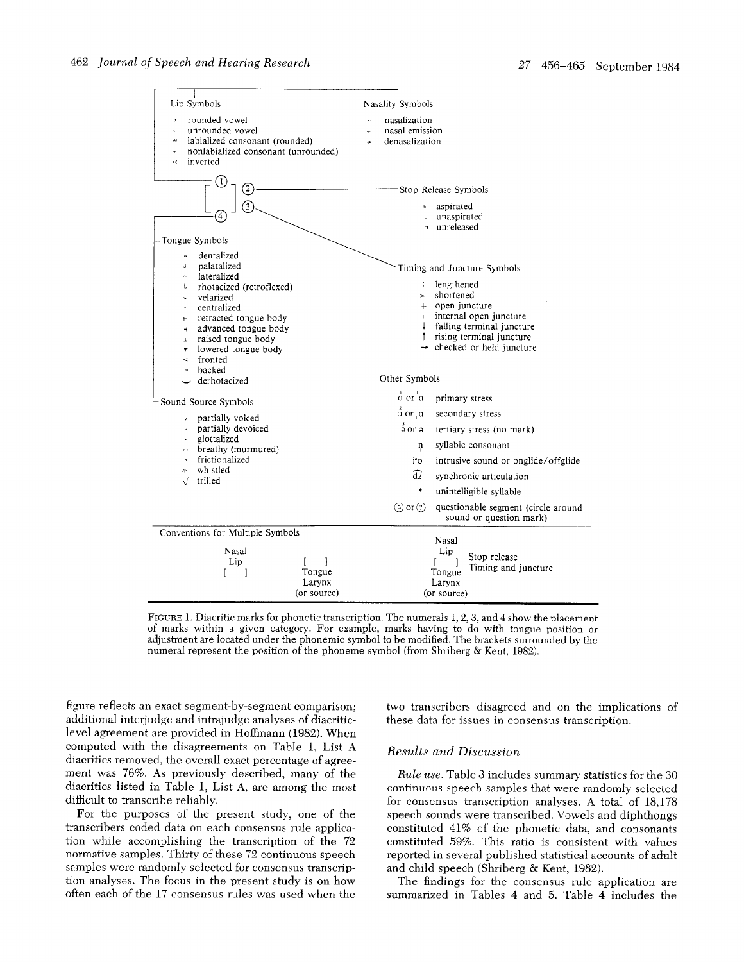

FIGURE 1. Diacritic marks for phonetic transcription. The numerals 1, 2, 3, and 4 show the placement of marks within a given category. For example, marks having to do with tongue position or adjustment are located under the phonemic symbol to be modified. The brackets surrounded by the numeral represent the position of the phoneme symbol (from Shriberg & Kent, 1982).

figure reflects an exact segment-by-segment comparison; additional interjudge and intrajudge analyses of diacriticlevel agreement are provided in Hoffmann (1982). When computed with the disagreements on Table 1, List A diacritics removed, the overall exact percentage of agreement was 76%. As previously described, many of the diacritics listed in Table 1, List A, are among the most difficult to transcribe reliably.

For the purposes of the present study, one of the transcribers coded data on each consensus rule application while accomplishing the transcription of the 72 normative samples. Thirty of these 72 continuous speech samples were randomly selected for consensus transcription analyses. The focus in the present study is on how often each of the 17 consensus rules was used when the two transcribers disagreed and on the implications of these data for issues in consensus transcription.

# *Results and Discussion*

*flule use.* Table 3 includes summary statistics for the 30 continuous speech samples that were randomly selected for consensus transcription analyses. A total of 18,178 speech sounds were transcribed. Vowels and diphthongs constituted 41% of the phonetic data, and consonants constituted 59%. This ratio is consistent with values reported in several published statistical accounts of adult and child speech (Shriberg & Kent, 1982).

The findings for the consensus rule application are summarized in Tables 4 and 5. Table 4 includes the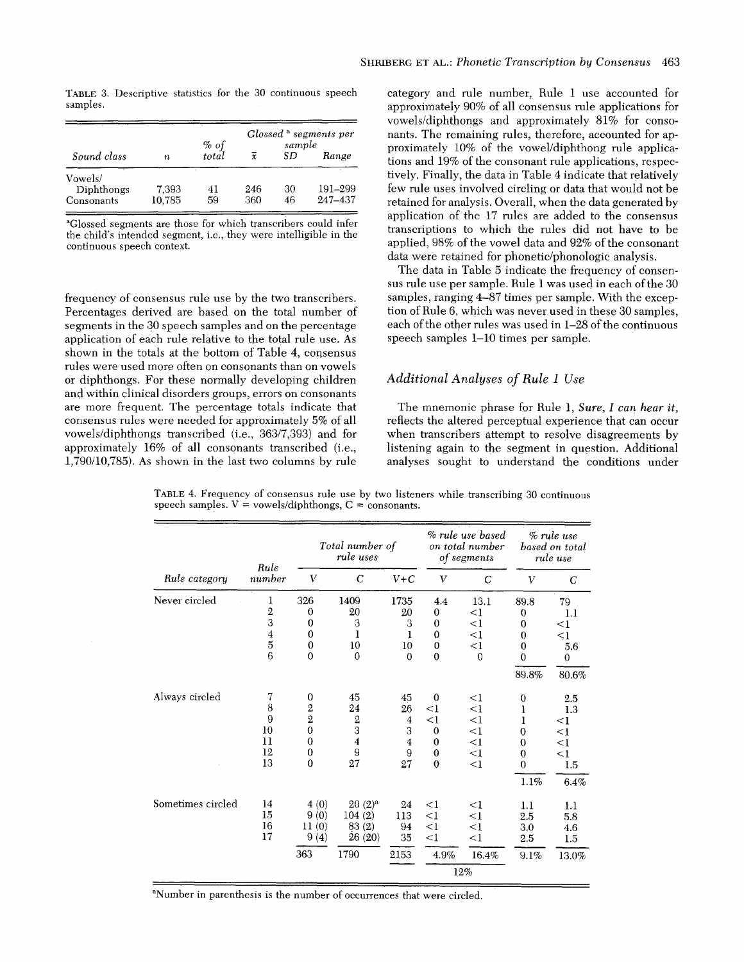TABLE 3. Descriptive statistics for the 30 continuous speech samples.

|                                     |                 | % of     | $Glossed$ <sup>a</sup> segments per<br>sample |          |                    |  |
|-------------------------------------|-----------------|----------|-----------------------------------------------|----------|--------------------|--|
| Sound class                         | n               | total    | $\boldsymbol{x}$                              | SD       | Range              |  |
| Vowels/<br>Diphthongs<br>Consonants | 7,393<br>10.785 | 41<br>59 | 246<br>360                                    | 30<br>46 | 191-299<br>247-437 |  |

<sup>a</sup>Glossed segments are those for which transcribers could infer the child's intended segment, i.e., they were intelligible in the continuous speech context.

frequency of consensus rule use by the two transcribers. Percentages derived are based on the total number of segments in the 30 speech samples and on the percentage application of each rule relative to the total rule use. As shown in the totals at the bottom of Table 4, consensus rules were used more often on consonants than on vowels or diphthongs. For these normally developing children and within clinical disorders groups, errors on consonants are more frequent. The percentage totals indicate that consensus rules were needed for approximately 5% of all vowels/diphthongs transcribed (i.e., 363/7,393) and for approximately 16% of all consonants transcribed (i.e., 1,790/10,785). As shown in the last two columns by rule category and rule number, Rule 1 use accounted for approximately 90% of all consensus rule applications for vowels/diphthongs and approximately 81% for consonants. The remaining rules, therefore, accounted for approximately 10% of the vowel/diphthong rule applications and 19% of the consonant rule applications, respectively, Finally, the data in Table 4 indicate that relatively few rule uses involved circling or data that would not be retained for analysis. Overall, when the data generated by application of the 17 rules are added to the consensus transcriptions to which the rules did not have to be applied, 98% of the vowel data and 92% of the consonant data were retained for phonetic/phonologic analysis.

The data in Table 5 indicate the frequency of consensus rule use per sample. Rule 1 was used in each of the 30 samples, ranging 4-87 times per sample. With the exception of Rule 6, which was never used in these 30 samples, each of the other rules was used in 1-28 of the continuous speech samples 1-10 times per sample.

# *Additional Analyses of Rule 1 Use*

The mnemonic phrase for Rule 1, *Sure, I can hear it,*  reflects the altered perceptual experience that can occur when transcribers attempt to resolve disagreements by listening again to the segment in question. Additional analyses sought to understand the conditions under

TABLE 4. Frequency of consensus rule use by two listeners while transcribing 30 continuous speech samples.  $V =$  vowels/diphthongs,  $C =$  consonants.

|                   |                         | Total number of<br>rule uses |                |                |                  | % rule use based<br>on total number<br>of segments | % rule use<br>based on total<br>rule use |                  |
|-------------------|-------------------------|------------------------------|----------------|----------------|------------------|----------------------------------------------------|------------------------------------------|------------------|
| Rule category     | Rule<br>number          | V                            | $\mathcal{C}$  | $V+C$          | V                | $\mathcal C$                                       | V                                        | $\overline{C}$   |
| Never circled     | 1                       | 326                          | 1409           | 1735           | 4.4              | 13.1                                               | 89.8                                     | 79               |
|                   | $\overline{2}$          | $\bf{0}$                     | 20             | 20             | 0                | $<$ l                                              | 0                                        | 1.1              |
|                   | 3                       | $\boldsymbol{0}$             | 3              | 3              | $\bf{0}$         | $<$ 1                                              | $\overline{0}$                           | <1               |
|                   | $\overline{\mathbf{4}}$ | $\boldsymbol{0}$             | l              | 1              | $\theta$         | $<$ 1                                              | $\bf{0}$                                 | $\leq$ 1         |
|                   | $\overline{5}$          | $\mathbf{0}$                 | 10             | 10             | $\mathbf 0$      | $<$ l                                              | $\boldsymbol{0}$                         | 5.6              |
|                   | 6                       | $\theta$                     | $\theta$       | $\theta$       | $\theta$         | $\overline{0}$                                     | $\bf{0}$                                 | $\boldsymbol{0}$ |
|                   |                         |                              |                |                |                  |                                                    | 89.8%                                    | $80.6\%$         |
| Always circled    | 7                       | $\bf{0}$                     | 45             | 45             | $\mathbf 0$      | $<$ l                                              | $\bf{0}$                                 | 2.5              |
|                   | 8                       | $\boldsymbol{2}$             | 24             | 26             | $<$ 1            | $<$ l                                              | ı                                        | 1.3              |
|                   | 9                       | $\overline{2}$               | $\overline{2}$ | $\overline{4}$ | $<$ 1            | $<$ l                                              | 1                                        | $\leq$ 1         |
|                   | 10                      | $\mathbf 0$                  | 3              | 3              | $\boldsymbol{0}$ | $\leq$ 1                                           | 0                                        | $\leq$ 1         |
|                   | 11                      | 0                            | $\overline{4}$ | $\overline{4}$ | $\boldsymbol{0}$ | $\leq$ 1                                           | $\mathbf 0$                              | $\leq$ 1         |
|                   | 12                      | 0                            | 9              | 9              | $\bf{0}$         | $\leq$ 1                                           | $\bf{0}$                                 | $\leq$ 1         |
|                   | 13                      | $\bf{0}$                     | 27             | 27             | $\theta$         | $\leq$ 1                                           | $\Omega$                                 | 1.5              |
|                   |                         |                              |                |                |                  |                                                    | 1.1%                                     | 6.4%             |
| Sometimes circled | 14                      | 4(0)                         | $20 (2)^a$     | 24             | $<$ $1$          | <1                                                 | 1.1                                      | 1.1              |
|                   | 15                      | 9(0)                         | 104(2)         | 113            | $<$ 1            | $\leq$ 1                                           | $2.5\,$                                  | 5.8              |
|                   | 16                      | 11(0)                        | 83(2)          | 94             | $<$ l            | $\leq$ 1                                           | 3.0                                      | 4.6              |
|                   | 17                      | 9(4)                         | 26 (20)        | 35             | <1               | <1                                                 | 2.5                                      | 1.5              |
|                   |                         | 363                          | 1790           | 2153           | 4.9%             | 16.4%                                              | 9.1%                                     | 13.0%            |
|                   |                         |                              |                |                | 12%              |                                                    |                                          |                  |

~Number in parenthesis is the number of occurrences that were circled.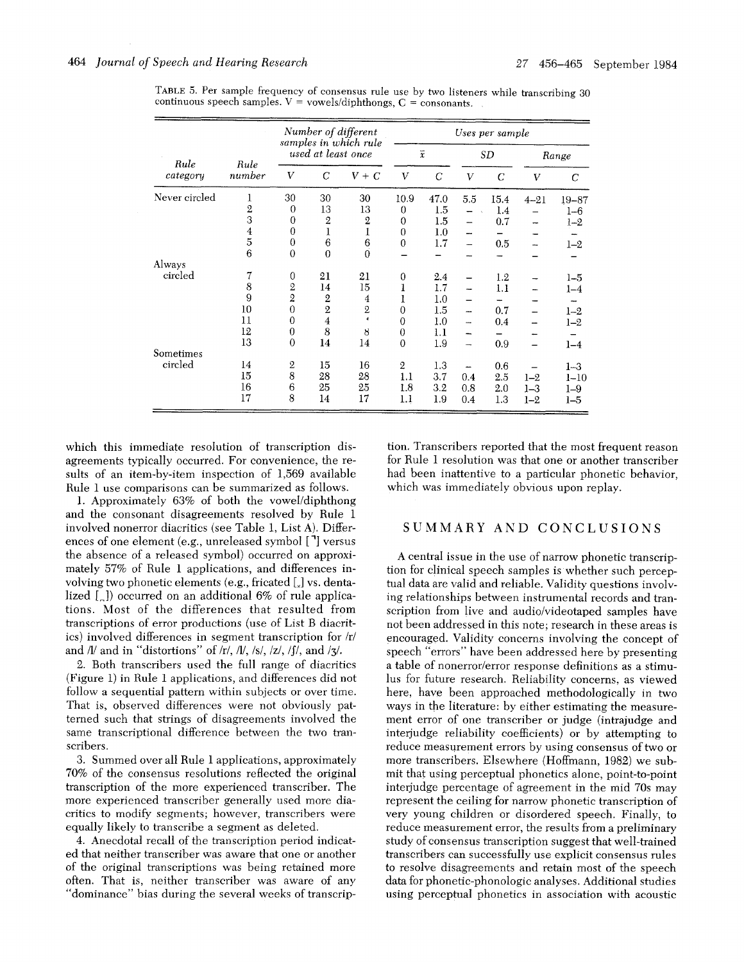TABLE 5. Per sample frequency of consensus rule use by two listeners while transcribing 30 continuous speech samples.  $V = \text{vowels/diphthongs}$ ,  $C = \text{consonants}$ .

|               | Rule<br>number | Number of different<br>samples in which rule<br>used at least once |                  | Uses per sample |                  |                |     |               |          |               |
|---------------|----------------|--------------------------------------------------------------------|------------------|-----------------|------------------|----------------|-----|---------------|----------|---------------|
| Rule          |                |                                                                    |                  |                 | $\overline{x}$   |                | SD  |               | Range    |               |
| category      |                | V                                                                  | C                | $V + C$         | V                | $\overline{C}$ | V   | $\mathcal{C}$ | V        | $\mathcal{C}$ |
| Never circled | 1              | 30                                                                 | 30               | 30              | 10.9             | 47.0           | 5.5 | 15.4          | $4 - 21$ | $19 - 87$     |
|               | $\overline{2}$ | $\theta$                                                           | 13               | 13              | $\overline{0}$   | 1.5            |     | 1.4           |          | $1-6$         |
|               | 3              | $\theta$                                                           | $\mathbf{2}$     | $\mathbf{2}$    | $\theta$         | 1.5            | -   | 0.7           |          | $1 - 2$       |
|               |                | $\mathbf{0}$                                                       | $\mathbf{I}$     | ı               | $\bf{0}$         | 1.0            |     |               |          |               |
|               | $\frac{4}{5}$  | $\boldsymbol{0}$                                                   | 6                | 6               | $\boldsymbol{0}$ | 1.7            |     | 0.5           |          | $1 - 2$       |
|               | 6              | $\theta$                                                           | $\boldsymbol{0}$ | $\vec{0}$       |                  |                |     |               |          |               |
| Always        |                |                                                                    |                  |                 |                  |                |     |               |          |               |
| circled       | 7              | $\bf{0}$                                                           | 21               | 21              | $\boldsymbol{0}$ | 2.4            |     | 1.2           |          | $1 - 5$       |
|               | 8              | $\mathbf{2}$                                                       | 14               | 15              | 1                | 1.7            |     | 1.1           |          | $1 - 4$       |
|               | $\overline{9}$ | $\overline{2}$                                                     | $\boldsymbol{2}$ | 4               | l                | 1.0            |     |               |          |               |
|               | 10             | $\mathbf 0$                                                        | $\,2\,$          | 2               | $\boldsymbol{0}$ | 1.5            |     | 0.7           |          | $1 - 2$       |
|               | 11             | $\mathbf 0$                                                        | $\overline{4}$   | $\overline{4}$  | $\overline{0}$   | 1.0            |     | 0.4           |          | $1 - 2$       |
|               | 12             | $\bf{0}$                                                           | 8                | 8               | $\bf{0}$         | 1.1            |     |               |          |               |
|               | 13             | $\mathbf 0$                                                        | 14               | 14              | $\theta$         | 1.9            |     | 0.9           |          | $1 - 4$       |
| Sometimes     |                |                                                                    |                  |                 |                  |                |     |               |          |               |
| circled       | 14             | 2                                                                  | 15               | 16              | $\mathbf{2}$     | 1.3            |     | 0.6           |          | $1 - 3$       |
|               | 15             | 8                                                                  | 28               | 28              | 1.1              | 3.7            | 0.4 | 2.5           | $1 - 2$  | $1 - 10$      |
|               | 16             | 6                                                                  | 25               | 25              | 1.8              | 3.2            | 0.8 | 2.0           | $1 - 3$  | $1 - 9$       |
|               | 17             | 8                                                                  | 14               | 17              | 1.1              | 1.9            | 0.4 | 1.3           | $1 - 2$  | $1 - 5$       |

which this immediate resolution of transcription disagreements typically occurred. For convenience, the results of an item-by-item inspection of 1,569 available Rule 1 use comparisons can be summarized as follows.

1. Approximately 63% of both the vowel/diphthong and the consonant disagreements resolved by Rule 1 involved nonerror diacritics (see Table 1, List A). Differences of one element (e.g., unreleased symbol [~] versus the absence of a released symbol) occurred on approximately 57% of Rule 1 applications, and differences involving two phonetic elements (e.g., fricated  $\left[\right]$  vs. dentalized  $\lbrack$ ]) occurred on an additional 6% of rule applications. Most of the differences that resulted from transcriptions of error productions (use of List B diacritics) involved differences in segment transcription for  $/r/$ and  $N$  and in "distortions" of  $/r/$ ,  $N/$ ,  $/s/$ ,  $/z/$ ,  $/f/$ , and  $/z/$ .

2. Both transcribers used the full range of diacritics (Figure 1) in Rule 1 applications, and differences did not follow a sequential pattern within subjects or over time. That is, observed differences were not obviously patterned such that strings of disagreements involved the same transcriptional difference between the two transcribers.

3. Summed over all Rule 1 applications, approximately 70% of the consensus resolutions reflected the original transcription of the more experienced transcriber. The more experienced transcriber generally used more diacritics to modify segments; however, transcribers were equally likely to transcribe a segment as deleted.

4. Anecdotal recall of the transcription period indicated that neither transcriber was aware that one or another of the original transcriptions was being retained more often. That is, neither transcriber was aware of any "dominance" bias during the several weeks of transcription. Transcribers reported that the most frequent reason for Rule 1 resolution was that one or another transcriber had been inattentive to a particular phonetic behavior, which was immediately obvious upon replay.

# SUMMARY AND CONCLUSIONS

A central issue in the use of narrow phonetic transcription for clinical speech samples is whether such perceptual data are valid and reliable. Validity questions involving relationships between instrumental records and transcription from live and audio/videotaped samples have not been addressed in this note; research in these areas is encouraged. Validity concerns involving the concept of speech "errors" have been addressed here by presenting a table of nonerror/error response definitions as a stimulus for future research. Reliability concerns, as viewed here, have been approached methodologically in two ways in the literature: by either estimating the measurement error of one transcriber or judge (intrajudge and interjudge reliability eoeffieients) or by attempting to reduce measurement errors by using consensus of two or more transcribers. Elsewhere (Hoffmann, 1982) we submit that using perceptual phonetics alone, point-to-point interjudge percentage of agreement in the mid 70s may represent the ceiling for narrow phonetic transcription of very young children or disordered speech. Finally, to reduce measurement error, the results from a preliminary study of consensus transcription suggest that well-trained transcribers can successfully use explicit consensus rules to resolve disagreements and retain most of the speech data for phonetic-phonologic analyses. Additional studies using perceptual phonetics in association with acoustic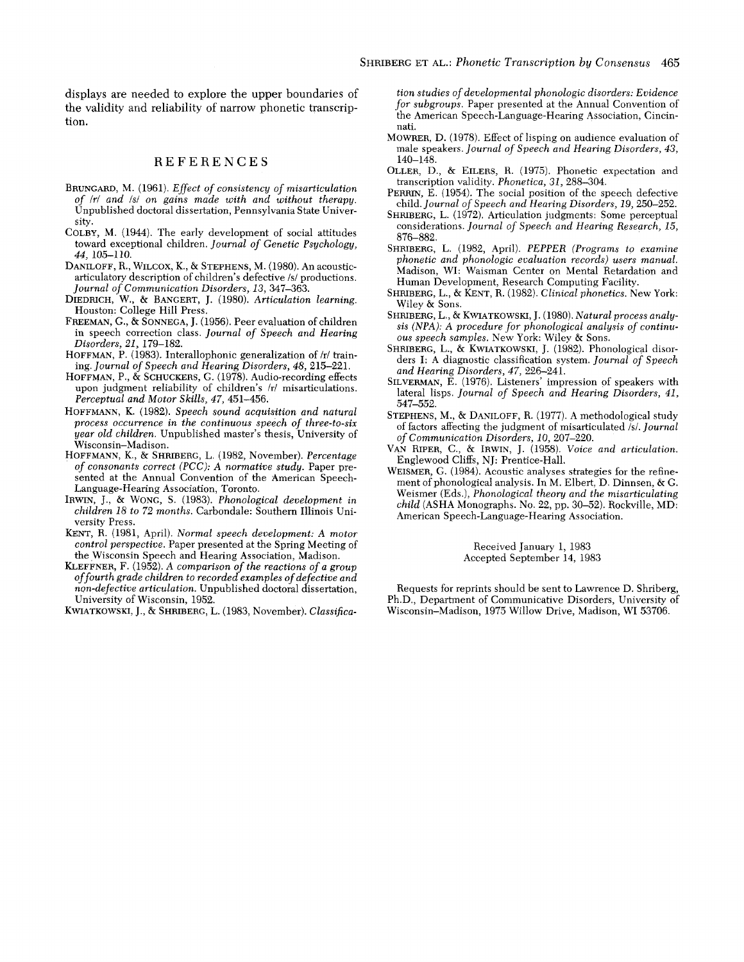displays are needed to explore the upper boundaries of the validity and reliability of narrow phonetic transcription.

## **REFERENCES**

- BRUNGARD, M. (1961). *Effect of consistency of misarticulation of /r/ and /s/ on gains made with and without therapy.*  Unpublished doctoral dissertation, Pennsylvania State University.
- COLBY, M. (1944). The early development of social attitudes toward exceptional children. *Journal of Genetic Psychology, 44,* 105-110.
- DANILOFF, R., WILCOX, K., & STEPHENS, M. (1980). An acousticarticulatory description of children's defective /s/ productions. *Journal of Communication Disorders, 13,* 347-363.
- DIEDRICH, W., & BANGERT, J. (1980). *Articulation learning.*  Houston: College Hill Press.
- FREEMAN, G., & SONNEGA, J. (1956). Peer evaluation of children in speech correction class. *Journal of Speech and Hearing Disorders, 21,* 179-182.
- HOFFMAN, P. (1983). Interallophonic generalization of  $/r/$  training. *Journal of Speech and Hearing Disorders, 48,* 215-221.
- HOFFMAN, P., & SCHUCKERS, G. (1978). Audio-recording effects upon judgment reliability of children's /r/ misarticulations. *Perceptual and Motor Skills, 47,* 451-456.
- HOFFMANN, K. (1982). *Speech sound acquisition and natural process occurrence in the continuous speech of three-to-six gear old children.* Unpublished master's thesis, University of Wisconsin-Madison.
- HOFFMANN, K., & SHRIBERG, L. (1982, November). *Percentage of consonants correct (PCC): A normative study.* Paper presented at the Annual Convention of the American Speech-Language-Hearing Association, Toronto.
- IRWIN, J., & WONG, S. (1983). *Phonological development in children 18 to 72 months.* Carbondale: Southern Illinois University Press.
- KENT, R. (1981, April). *Normal speech development: A motor control perspective.* Paper presented at the Spring Meeting of the Wisconsin Speech and Hearing Association, Madison.
- KLEFFNER, F. (1952). *A comparison of the reactions of a group of fourth grade children to recorded examples of defective and non-defective articulation.* Unpublished doctoral dissertation, University of Wisconsin, 1952.

KWlATKOWSKI, J., & SHPJBERC, L. (1983, November). *Classifica-*

*tion studies of developmental phonologic disorders: Evidence for subgroups.* Paper presented at the Annual Convention of the American Speech-Language-Hearing Association, Cincinnati.

- MOWRER, D. (1978). Effect of lisping on audience evaluation of male speakers. *Journal of Speech and Hearing Disorders, 43,*  140-148.
- OLLER, D., & EILERS, R. (1975). Phonetic expectation and transcription validity. *Phonetica, 31,288-304.*
- PERRIN, E. (1954). The social position of the speech defective child. *Journal of Speech and Hearing Disorders, 19,* 250-252.
- SHRIBERG, L. (1972). Articulation judgments: Some perceptual considerations. *Journal of Speech and Hearing Research, 15,*  876-882.
- SHRIBERG, L. (1982, April). *PEPPER (Programs to examine phonetic and phonologic evaluation records) users manual.*  Madison, WI: Waisman Center on Mental Retardation and Human Development, Research Computing Facility.
- SHRIBERG, L., & KENT, R. (1982). *Clinical phonetics.* New York: Wiley & Sons.
- SHRIBERG, L., & KWIATKOWSKI, J. (1980). *Natural process analysis (NPA): A procedure for phonological analysis of continuous speech samples.* New York: Wiley & Sons.
- SHRIBERG, L., & KWIATKOWSKI, J. (1982). Phonological disorders I: A diagnostic classification system. *Journal of Speech and Hearing Disorders, 47,* 226-241.
- SILVERMAN, E. (1976). Listeners' impression of speakers with lateral lisps. *Journal of Speech and Hearing Disorders, 41,*  547-552.
- STEPHENS, M., & DANILOFF, R. (1977). A methodological study of factors affecting the judgment of misarticulated/s/. *Journal of Communication Disorders, 10,* 207-220.
- VAN RIPER, C., & IRWIN, J. (1958). *Voice and articulation.*  Englewood Cliffs, NJ: Prentice-Hall.
- WEISMER, G. (1984). Acoustic analyses strategies for the refinement of phonological analysis. In M. Elbert, D. Dinnsen, & G. Weismer (Eds.), *Phonological theory and the misarticulating child* (ASHA Monographs. No. 22, pp. 30-52). Rockville, MD: American Speech-Language-Hearing Association.

Received January 1, 1983 Accepted September 14, 1983

Requests for reprints should be sent to Lawrence D. Shriberg, Ph.D., Department of Communicative Disorders, University of Wisconsin-Madison, 1975 Willow Drive, Madison, WI 53706.